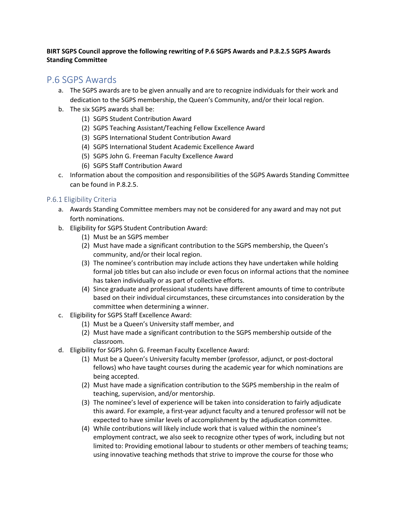## **BIRT SGPS Council approve the following rewriting of P.6 SGPS Awards and P.8.2.5 SGPS Awards Standing Committee**

# P.6 SGPS Awards

- a. The SGPS awards are to be given annually and are to recognize individuals for their work and dedication to the SGPS membership, the Queen's Community, and/or their local region.
- b. The six SGPS awards shall be:
	- (1) SGPS Student Contribution Award
	- (2) SGPS Teaching Assistant/Teaching Fellow Excellence Award
	- (3) SGPS International Student Contribution Award
	- (4) SGPS International Student Academic Excellence Award
	- (5) SGPS John G. Freeman Faculty Excellence Award
	- (6) SGPS Staff Contribution Award
- c. Information about the composition and responsibilities of the SGPS Awards Standing Committee can be found in P.8.2.5.

## P.6.1 Eligibility Criteria

- a. Awards Standing Committee members may not be considered for any award and may not put forth nominations.
- b. Eligibility for SGPS Student Contribution Award:
	- (1) Must be an SGPS member
	- (2) Must have made a significant contribution to the SGPS membership, the Queen's community, and/or their local region.
	- (3) The nominee's contribution may include actions they have undertaken while holding formal job titles but can also include or even focus on informal actions that the nominee has taken individually or as part of collective efforts.
	- (4) Since graduate and professional students have different amounts of time to contribute based on their individual circumstances, these circumstances into consideration by the committee when determining a winner.
- c. Eligibility for SGPS Staff Excellence Award:
	- (1) Must be a Queen's University staff member, and
	- (2) Must have made a significant contribution to the SGPS membership outside of the classroom.
- d. Eligibility for SGPS John G. Freeman Faculty Excellence Award:
	- (1) Must be a Queen's University faculty member (professor, adjunct, or post-doctoral fellows) who have taught courses during the academic year for which nominations are being accepted.
	- (2) Must have made a signification contribution to the SGPS membership in the realm of teaching, supervision, and/or mentorship.
	- (3) The nominee's level of experience will be taken into consideration to fairly adjudicate this award. For example, a first-year adjunct faculty and a tenured professor will not be expected to have similar levels of accomplishment by the adjudication committee.
	- (4) While contributions will likely include work that is valued within the nominee's employment contract, we also seek to recognize other types of work, including but not limited to: Providing emotional labour to students or other members of teaching teams; using innovative teaching methods that strive to improve the course for those who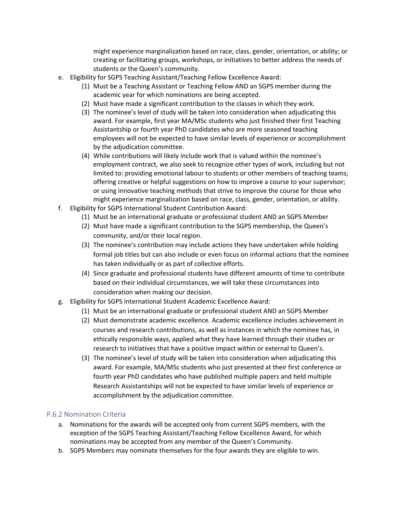might experience marginalization based on race, class, gender, orientation, or ability; or creating or facilitating groups, workshops, or initiatives to better address the needs of students or the Queen's community.

- e. Eligibility for SGPS Teaching Assistant/Teaching Fellow Excellence Award:
	- (1) Must be a Teaching Assistant or Teaching Fellow AND an SGPS member during the academic year for which nominations are being accepted.
	- (2) Must have made a significant contribution to the classes in which they work.
	- (3) The nominee's level of study will be taken into consideration when adjudicating this award. For example, first year MA/MSc students who just finished their first Teaching Assistantship or fourth year PhD candidates who are more seasoned teaching employees will not be expected to have similar levels of experience or accomplishment by the adjudication committee.
	- (4) While contributions will likely include work that is valued within the nominee's employment contract, we also seek to recognize other types of work, including but not limited to: providing emotional labour to students or other members of teaching teams; offering creative or helpful suggestions on how to improve a course to your supervisor; or using innovative teaching methods that strive to improve the course for those who might experience marginalization based on race, class, gender, orientation, or ability.
- f. Eligibility for SGPS International Student Contribution Award:
	- (1) Must be an international graduate or professional student AND an SGPS Member
	- (2) Must have made a significant contribution to the SGPS membership, the Queen's community, and/or their local region.
	- (3) The nominee's contribution may include actions they have undertaken while holding formal job titles but can also include or even focus on informal actions that the nominee has taken individually or as part of collective efforts.
	- (4) Since graduate and professional students have different amounts of time to contribute based on their individual circumstances, we will take these circumstances into consideration when making our decision.
- g. Eligibility for SGPS International Student Academic Excellence Award:
	- (1) Must be an international graduate or professional student AND an SGPS Member
	- (2) Must demonstrate academic excellence. Academic excellence includes achievement in courses and research contributions, as well as instances in which the nominee has, in ethically responsible ways, applied what they have learned through their studies or research to initiatives that have a positive impact within or external to Queen's.
	- (3) The nominee's level of study will be taken into consideration when adjudicating this award. For example, MA/MSc students who just presented at their first conference or fourth year PhD candidates who have published multiple papers and held multiple Research Assistantships will not be expected to have similar levels of experience or accomplishment by the adjudication committee.

## P.6.2 Nomination Criteria

- a. Nominations for the awards will be accepted only from current SGPS members, with the exception of the SGPS Teaching Assistant/Teaching Fellow Excellence Award, for which nominations may be accepted from any member of the Queen's Community.
- b. SGPS Members may nominate themselves for the four awards they are eligible to win.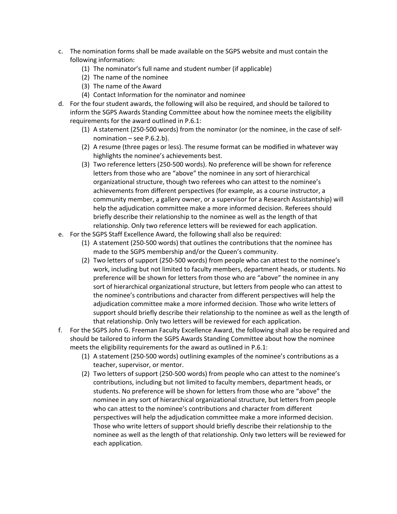- c. The nomination forms shall be made available on the SGPS website and must contain the following information:
	- (1) The nominator's full name and student number (if applicable)
	- (2) The name of the nominee
	- (3) The name of the Award
	- (4) Contact Information for the nominator and nominee
- d. For the four student awards, the following will also be required, and should be tailored to inform the SGPS Awards Standing Committee about how the nominee meets the eligibility requirements for the award outlined in P.6.1:
	- (1) A statement (250-500 words) from the nominator (or the nominee, in the case of selfnomination – see P.6.2.b).
	- (2) A resume (three pages or less). The resume format can be modified in whatever way highlights the nominee's achievements best.
	- (3) Two reference letters (250-500 words). No preference will be shown for reference letters from those who are "above" the nominee in any sort of hierarchical organizational structure, though two referees who can attest to the nominee's achievements from different perspectives (for example, as a course instructor, a community member, a gallery owner, or a supervisor for a Research Assistantship) will help the adjudication committee make a more informed decision. Referees should briefly describe their relationship to the nominee as well as the length of that relationship. Only two reference letters will be reviewed for each application.
- e. For the SGPS Staff Excellence Award, the following shall also be required:
	- (1) A statement (250-500 words) that outlines the contributions that the nominee has made to the SGPS membership and/or the Queen's community.
	- (2) Two letters of support (250-500 words) from people who can attest to the nominee's work, including but not limited to faculty members, department heads, or students. No preference will be shown for letters from those who are "above" the nominee in any sort of hierarchical organizational structure, but letters from people who can attest to the nominee's contributions and character from different perspectives will help the adjudication committee make a more informed decision. Those who write letters of support should briefly describe their relationship to the nominee as well as the length of that relationship. Only two letters will be reviewed for each application.
- f. For the SGPS John G. Freeman Faculty Excellence Award, the following shall also be required and should be tailored to inform the SGPS Awards Standing Committee about how the nominee meets the eligibility requirements for the award as outlined in P.6.1:
	- (1) A statement (250-500 words) outlining examples of the nominee's contributions as a teacher, supervisor, or mentor.
	- (2) Two letters of support (250-500 words) from people who can attest to the nominee's contributions, including but not limited to faculty members, department heads, or students. No preference will be shown for letters from those who are "above" the nominee in any sort of hierarchical organizational structure, but letters from people who can attest to the nominee's contributions and character from different perspectives will help the adjudication committee make a more informed decision. Those who write letters of support should briefly describe their relationship to the nominee as well as the length of that relationship. Only two letters will be reviewed for each application.